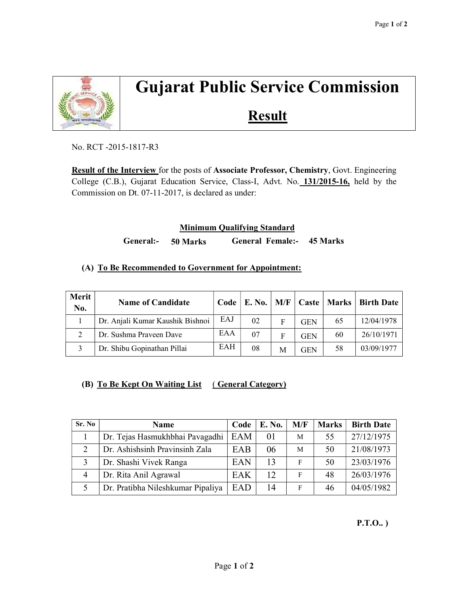

# Gujarat Public Service Commission

# **Result**

No. RCT -2015-1817-R3

Result of the Interview for the posts of Associate Professor, Chemistry, Govt. Engineering College (C.B.), Gujarat Education Service, Class-I, Advt. No. 131/2015-16, held by the Commission on Dt. 07-11-2017, is declared as under:

### Minimum Qualifying Standard

General:- 50 Marks General Female:- 45 Marks

### (A) To Be Recommended to Government for Appointment:

| Merit<br>No. | <b>Name of Candidate</b>         |     | $Code \,   \, E. \, No.$ | M/F |            | Caste   Marks | Birth Date |
|--------------|----------------------------------|-----|--------------------------|-----|------------|---------------|------------|
|              | Dr. Anjali Kumar Kaushik Bishnoi | EAJ | 02                       | F   | <b>GEN</b> | 65            | 12/04/1978 |
|              | Dr. Sushma Praveen Dave          | EAA | 07                       | F   | <b>GEN</b> | 60            | 26/10/1971 |
|              | Dr. Shibu Gopinathan Pillai      | EAH | 08                       | M   | <b>GEN</b> | 58            | 03/09/1977 |

## (B) To Be Kept On Waiting List (General Category)

| Sr. No         | <b>Name</b>                       | Code | E. No. | M/F | <b>Marks</b> | <b>Birth Date</b> |
|----------------|-----------------------------------|------|--------|-----|--------------|-------------------|
|                | Dr. Tejas Hasmukhbhai Pavagadhi   | EAM  | 01     | М   | 55           | 27/12/1975        |
| $\mathcal{L}$  | Dr. Ashishsinh Pravinsinh Zala    | EAB  | 06     | M   | 50           | 21/08/1973        |
|                | Dr. Shashi Vivek Ranga            | EAN  | 13     | F   | 50           | 23/03/1976        |
| $\overline{4}$ | Dr. Rita Anil Agrawal             | EAK  | 12     | F   | 48           | 26/03/1976        |
|                | Dr. Pratibha Nileshkumar Pipaliya | EAD  | 14     | F   | 46           | 04/05/1982        |

P.T.O.. )